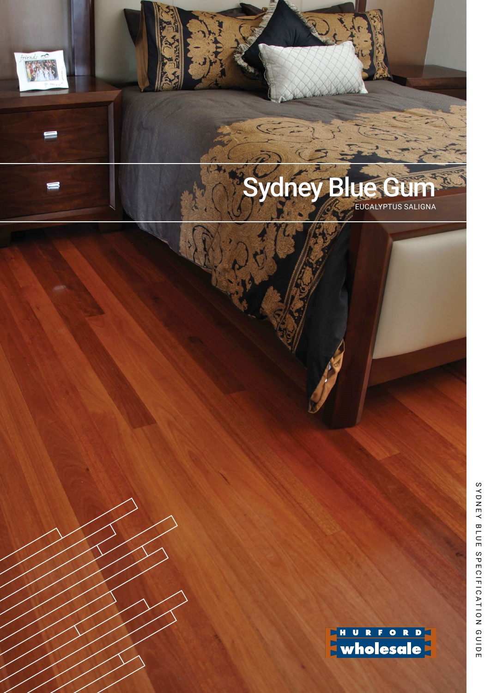# **Sydney Blue** EUCALYPTUS SALIGNA